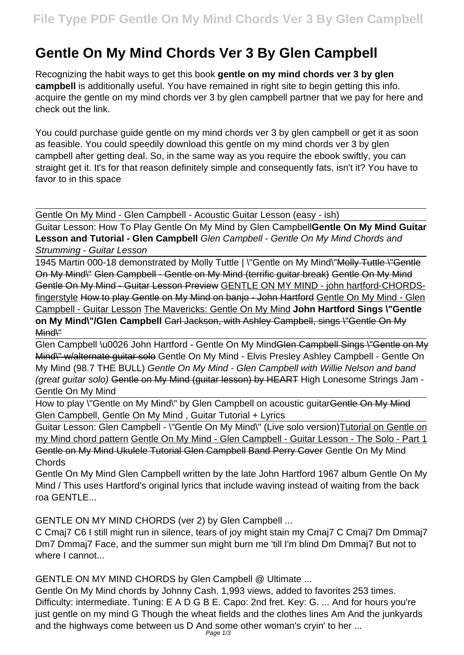# **Gentle On My Mind Chords Ver 3 By Glen Campbell**

Recognizing the habit ways to get this book **gentle on my mind chords ver 3 by glen campbell** is additionally useful. You have remained in right site to begin getting this info. acquire the gentle on my mind chords ver 3 by glen campbell partner that we pay for here and check out the link.

You could purchase guide gentle on my mind chords ver 3 by glen campbell or get it as soon as feasible. You could speedily download this gentle on my mind chords ver 3 by glen campbell after getting deal. So, in the same way as you require the ebook swiftly, you can straight get it. It's for that reason definitely simple and consequently fats, isn't it? You have to favor to in this space

Gentle On My Mind - Glen Campbell - Acoustic Guitar Lesson (easy - ish)

Guitar Lesson: How To Play Gentle On My Mind by Glen Campbell**Gentle On My Mind Guitar Lesson and Tutorial - Glen Campbell** Glen Campbell - Gentle On My Mind Chords and Strumming - Guitar Lesson

1945 Martin 000-18 demonstrated by Molly Tuttle | \"Gentle on My Mind\"<del>Molly Tuttle \"Gentle</del> On My Mind\" Glen Campbell - Gentle on My Mind (terrific guitar break) Gentle On My Mind Gentle On My Mind - Guitar Lesson Preview GENTLE ON MY MIND - john hartford-CHORDSfingerstyle How to play Gentle on My Mind on banjo - John Hartford Gentle On My Mind - Glen Campbell - Guitar Lesson The Mavericks: Gentle On My Mind **John Hartford Sings \"Gentle** on My Mind\"/Glen Campbell Garl Jackson, with Ashley Campbell, sings \"Gentle On My Mind\"

Glen Campbell \u0026 John Hartford - Gentle On My MindGlen Campbell Sings \"Gentle on My Mind\" w/alternate guitar solo Gentle On My Mind - Elvis Presley Ashley Campbell - Gentle On My Mind (98.7 THE BULL) Gentle On My Mind - Glen Campbell with Willie Nelson and band (great guitar solo) Gentle on My Mind (guitar lesson) by HEART High Lonesome Strings Jam - Gentle On My Mind

How to play \"Gentle on My Mind\" by Glen Campbell on acoustic quitar Gentle On My Mind Glen Campbell, Gentle On My Mind , Guitar Tutorial + Lyrics

Guitar Lesson: Glen Campbell - \"Gentle On My Mind\" (Live solo version)Tutorial on Gentle on my Mind chord pattern Gentle On My Mind - Glen Campbell - Guitar Lesson - The Solo - Part 1 Gentle on My Mind Ukulele Tutorial Glen Campbell Band Perry Cover Gentle On My Mind Chords

Gentle On My Mind Glen Campbell written by the late John Hartford 1967 album Gentle On My Mind / This uses Hartford's original lyrics that include waving instead of waiting from the back roa GENTLE...

GENTLE ON MY MIND CHORDS (ver 2) by Glen Campbell ...

C Cmaj7 C6 I still might run in silence, tears of joy might stain my Cmaj7 C Cmaj7 Dm Dmmaj7 Dm7 Dmmaj7 Face, and the summer sun might burn me 'till I'm blind Dm Dmmaj7 But not to where I cannot...

GENTLE ON MY MIND CHORDS by Glen Campbell @ Ultimate ...

Gentle On My Mind chords by Johnny Cash. 1,993 views, added to favorites 253 times. Difficulty: intermediate. Tuning: E A D G B E. Capo: 2nd fret. Key: G. ... And for hours you're just gentle on my mind G Though the wheat fields and the clothes lines Am And the junkyards and the highways come between us D And some other woman's cryin' to her ...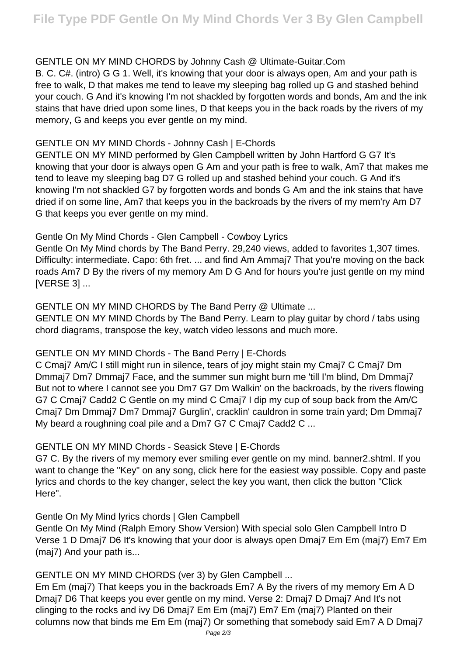# GENTLE ON MY MIND CHORDS by Johnny Cash @ Ultimate-Guitar.Com

B. C. C#. (intro) G G 1. Well, it's knowing that your door is always open, Am and your path is free to walk, D that makes me tend to leave my sleeping bag rolled up G and stashed behind your couch. G And it's knowing I'm not shackled by forgotten words and bonds, Am and the ink stains that have dried upon some lines, D that keeps you in the back roads by the rivers of my memory, G and keeps you ever gentle on my mind.

### GENTLE ON MY MIND Chords - Johnny Cash | E-Chords

GENTLE ON MY MIND performed by Glen Campbell written by John Hartford G G7 It's knowing that your door is always open G Am and your path is free to walk, Am7 that makes me tend to leave my sleeping bag D7 G rolled up and stashed behind your couch. G And it's knowing I'm not shackled G7 by forgotten words and bonds G Am and the ink stains that have dried if on some line, Am7 that keeps you in the backroads by the rivers of my mem'ry Am D7 G that keeps you ever gentle on my mind.

### Gentle On My Mind Chords - Glen Campbell - Cowboy Lyrics

Gentle On My Mind chords by The Band Perry. 29,240 views, added to favorites 1,307 times. Difficulty: intermediate. Capo: 6th fret. ... and find Am Ammaj7 That you're moving on the back roads Am7 D By the rivers of my memory Am D G And for hours you're just gentle on my mind [VERSE 3] ...

# GENTLE ON MY MIND CHORDS by The Band Perry @ Ultimate ...

GENTLE ON MY MIND Chords by The Band Perry. Learn to play guitar by chord / tabs using chord diagrams, transpose the key, watch video lessons and much more.

# GENTLE ON MY MIND Chords - The Band Perry | E-Chords

C Cmaj7 Am/C I still might run in silence, tears of joy might stain my Cmaj7 C Cmaj7 Dm Dmmaj7 Dm7 Dmmaj7 Face, and the summer sun might burn me 'till I'm blind, Dm Dmmaj7 But not to where I cannot see you Dm7 G7 Dm Walkin' on the backroads, by the rivers flowing G7 C Cmaj7 Cadd2 C Gentle on my mind C Cmaj7 I dip my cup of soup back from the Am/C Cmaj7 Dm Dmmaj7 Dm7 Dmmaj7 Gurglin', cracklin' cauldron in some train yard; Dm Dmmaj7 My beard a roughning coal pile and a Dm7 G7 C Cmaj7 Cadd2 C ...

# GENTLE ON MY MIND Chords - Seasick Steve | E-Chords

G7 C. By the rivers of my memory ever smiling ever gentle on my mind. banner2.shtml. If you want to change the "Key" on any song, click here for the easiest way possible. Copy and paste lyrics and chords to the key changer, select the key you want, then click the button "Click Here".

# Gentle On My Mind lyrics chords | Glen Campbell

Gentle On My Mind (Ralph Emory Show Version) With special solo Glen Campbell Intro D Verse 1 D Dmaj7 D6 It's knowing that your door is always open Dmaj7 Em Em (maj7) Em7 Em (maj7) And your path is...

# GENTLE ON MY MIND CHORDS (ver 3) by Glen Campbell ...

Em Em (maj7) That keeps you in the backroads Em7 A By the rivers of my memory Em A D Dmaj7 D6 That keeps you ever gentle on my mind. Verse 2: Dmaj7 D Dmaj7 And It's not clinging to the rocks and ivy D6 Dmaj7 Em Em (maj7) Em7 Em (maj7) Planted on their columns now that binds me Em Em (maj7) Or something that somebody said Em7 A D Dmaj7